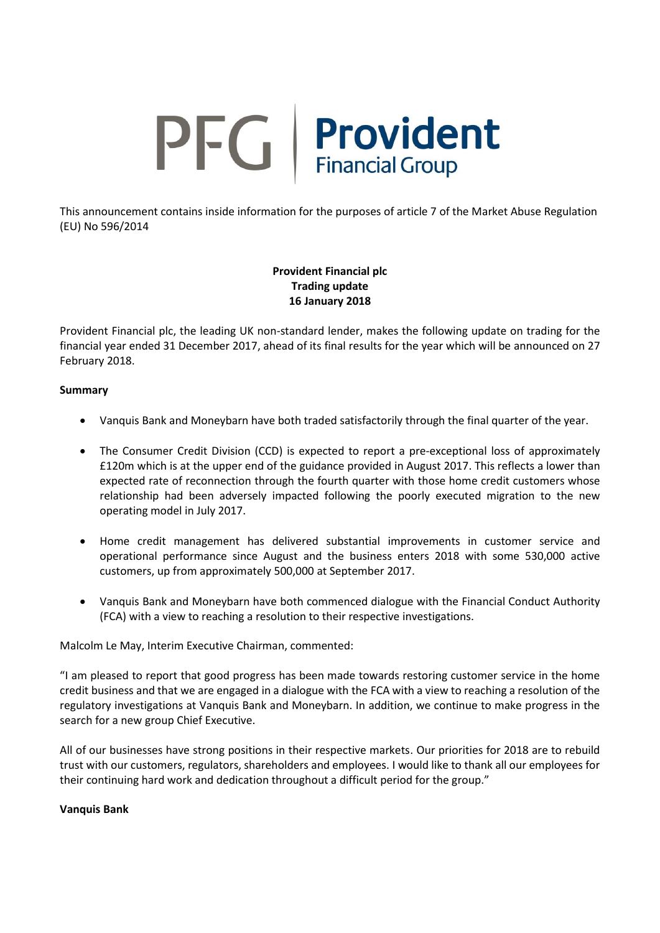# PFG Provident

This announcement contains inside information for the purposes of article 7 of the Market Abuse Regulation (EU) No 596/2014

> **Provident Financial plc Trading update 16 January 2018**

Provident Financial plc, the leading UK non-standard lender, makes the following update on trading for the financial year ended 31 December 2017, ahead of its final results for the year which will be announced on 27 February 2018.

### **Summary**

- Vanquis Bank and Moneybarn have both traded satisfactorily through the final quarter of the year.
- The Consumer Credit Division (CCD) is expected to report a pre-exceptional loss of approximately £120m which is at the upper end of the guidance provided in August 2017. This reflects a lower than expected rate of reconnection through the fourth quarter with those home credit customers whose relationship had been adversely impacted following the poorly executed migration to the new operating model in July 2017.
- Home credit management has delivered substantial improvements in customer service and operational performance since August and the business enters 2018 with some 530,000 active customers, up from approximately 500,000 at September 2017.
- Vanquis Bank and Moneybarn have both commenced dialogue with the Financial Conduct Authority (FCA) with a view to reaching a resolution to their respective investigations.

Malcolm Le May, Interim Executive Chairman, commented:

"I am pleased to report that good progress has been made towards restoring customer service in the home credit business and that we are engaged in a dialogue with the FCA with a view to reaching a resolution of the regulatory investigations at Vanquis Bank and Moneybarn. In addition, we continue to make progress in the search for a new group Chief Executive.

All of our businesses have strong positions in their respective markets. Our priorities for 2018 are to rebuild trust with our customers, regulators, shareholders and employees. I would like to thank all our employees for their continuing hard work and dedication throughout a difficult period for the group."

### **Vanquis Bank**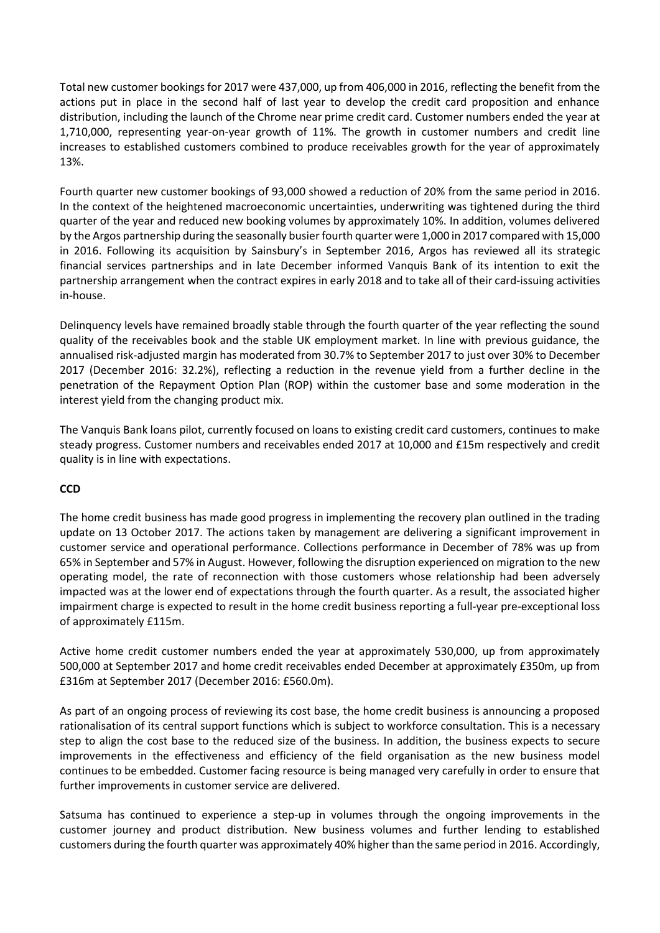Total new customer bookings for 2017 were 437,000, up from 406,000 in 2016, reflecting the benefit from the actions put in place in the second half of last year to develop the credit card proposition and enhance distribution, including the launch of the Chrome near prime credit card. Customer numbers ended the year at 1,710,000, representing year-on-year growth of 11%. The growth in customer numbers and credit line increases to established customers combined to produce receivables growth for the year of approximately 13%.

Fourth quarter new customer bookings of 93,000 showed a reduction of 20% from the same period in 2016. In the context of the heightened macroeconomic uncertainties, underwriting was tightened during the third quarter of the year and reduced new booking volumes by approximately 10%. In addition, volumes delivered by the Argos partnership during the seasonally busier fourth quarter were 1,000 in 2017 compared with 15,000 in 2016. Following its acquisition by Sainsbury's in September 2016, Argos has reviewed all its strategic financial services partnerships and in late December informed Vanquis Bank of its intention to exit the partnership arrangement when the contract expires in early 2018 and to take all of their card-issuing activities in-house.

Delinquency levels have remained broadly stable through the fourth quarter of the year reflecting the sound quality of the receivables book and the stable UK employment market. In line with previous guidance, the annualised risk-adjusted margin has moderated from 30.7% to September 2017 to just over 30% to December 2017 (December 2016: 32.2%), reflecting a reduction in the revenue yield from a further decline in the penetration of the Repayment Option Plan (ROP) within the customer base and some moderation in the interest yield from the changing product mix.

The Vanquis Bank loans pilot, currently focused on loans to existing credit card customers, continues to make steady progress. Customer numbers and receivables ended 2017 at 10,000 and £15m respectively and credit quality is in line with expectations.

# **CCD**

The home credit business has made good progress in implementing the recovery plan outlined in the trading update on 13 October 2017. The actions taken by management are delivering a significant improvement in customer service and operational performance. Collections performance in December of 78% was up from 65% in September and 57% in August. However, following the disruption experienced on migration to the new operating model, the rate of reconnection with those customers whose relationship had been adversely impacted was at the lower end of expectations through the fourth quarter. As a result, the associated higher impairment charge is expected to result in the home credit business reporting a full-year pre-exceptional loss of approximately £115m.

Active home credit customer numbers ended the year at approximately 530,000, up from approximately 500,000 at September 2017 and home credit receivables ended December at approximately £350m, up from £316m at September 2017 (December 2016: £560.0m).

As part of an ongoing process of reviewing its cost base, the home credit business is announcing a proposed rationalisation of its central support functions which is subject to workforce consultation. This is a necessary step to align the cost base to the reduced size of the business. In addition, the business expects to secure improvements in the effectiveness and efficiency of the field organisation as the new business model continues to be embedded. Customer facing resource is being managed very carefully in order to ensure that further improvements in customer service are delivered.

Satsuma has continued to experience a step-up in volumes through the ongoing improvements in the customer journey and product distribution. New business volumes and further lending to established customers during the fourth quarter was approximately 40% higher than the same period in 2016. Accordingly,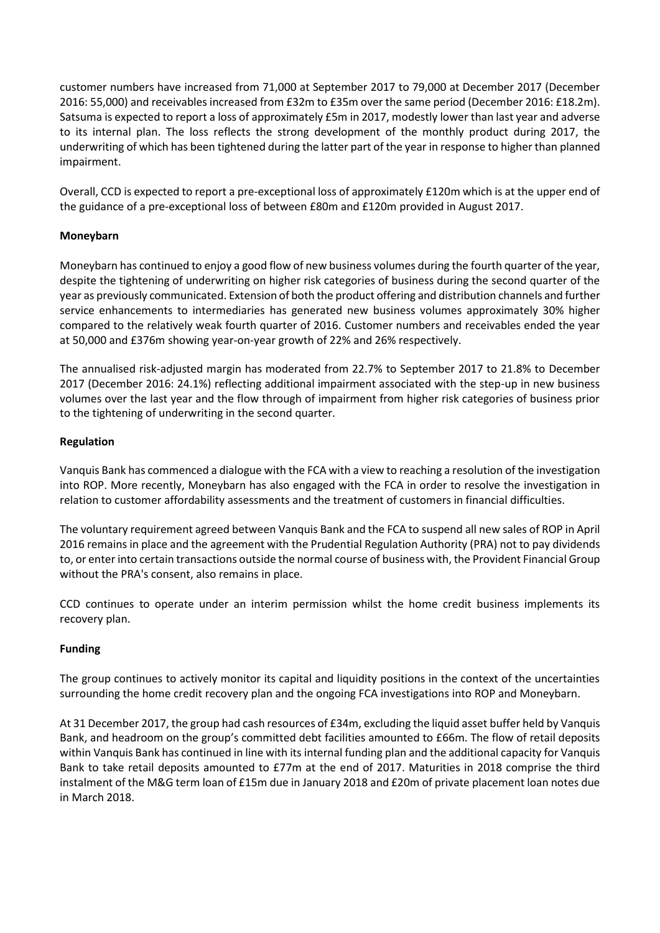customer numbers have increased from 71,000 at September 2017 to 79,000 at December 2017 (December 2016: 55,000) and receivables increased from £32m to £35m over the same period (December 2016: £18.2m). Satsuma is expected to report a loss of approximately £5m in 2017, modestly lower than last year and adverse to its internal plan. The loss reflects the strong development of the monthly product during 2017, the underwriting of which has been tightened during the latter part of the year in response to higher than planned impairment.

Overall, CCD is expected to report a pre-exceptional loss of approximately £120m which is at the upper end of the guidance of a pre-exceptional loss of between £80m and £120m provided in August 2017.

# **Moneybarn**

Moneybarn has continued to enjoy a good flow of new business volumes during the fourth quarter of the year, despite the tightening of underwriting on higher risk categories of business during the second quarter of the year as previously communicated. Extension of both the product offering and distribution channels and further service enhancements to intermediaries has generated new business volumes approximately 30% higher compared to the relatively weak fourth quarter of 2016. Customer numbers and receivables ended the year at 50,000 and £376m showing year-on-year growth of 22% and 26% respectively.

The annualised risk-adjusted margin has moderated from 22.7% to September 2017 to 21.8% to December 2017 (December 2016: 24.1%) reflecting additional impairment associated with the step-up in new business volumes over the last year and the flow through of impairment from higher risk categories of business prior to the tightening of underwriting in the second quarter.

# **Regulation**

Vanquis Bank has commenced a dialogue with the FCA with a view to reaching a resolution of the investigation into ROP. More recently, Moneybarn has also engaged with the FCA in order to resolve the investigation in relation to customer affordability assessments and the treatment of customers in financial difficulties.

The voluntary requirement agreed between Vanquis Bank and the FCA to suspend all new sales of ROP in April 2016 remains in place and the agreement with the Prudential Regulation Authority (PRA) not to pay dividends to, or enter into certain transactions outside the normal course of business with, the Provident Financial Group without the PRA's consent, also remains in place.

CCD continues to operate under an interim permission whilst the home credit business implements its recovery plan.

# **Funding**

The group continues to actively monitor its capital and liquidity positions in the context of the uncertainties surrounding the home credit recovery plan and the ongoing FCA investigations into ROP and Moneybarn.

At 31 December 2017, the group had cash resources of £34m, excluding the liquid asset buffer held by Vanquis Bank, and headroom on the group's committed debt facilities amounted to £66m. The flow of retail deposits within Vanquis Bank has continued in line with its internal funding plan and the additional capacity for Vanquis Bank to take retail deposits amounted to £77m at the end of 2017. Maturities in 2018 comprise the third instalment of the M&G term loan of £15m due in January 2018 and £20m of private placement loan notes due in March 2018.